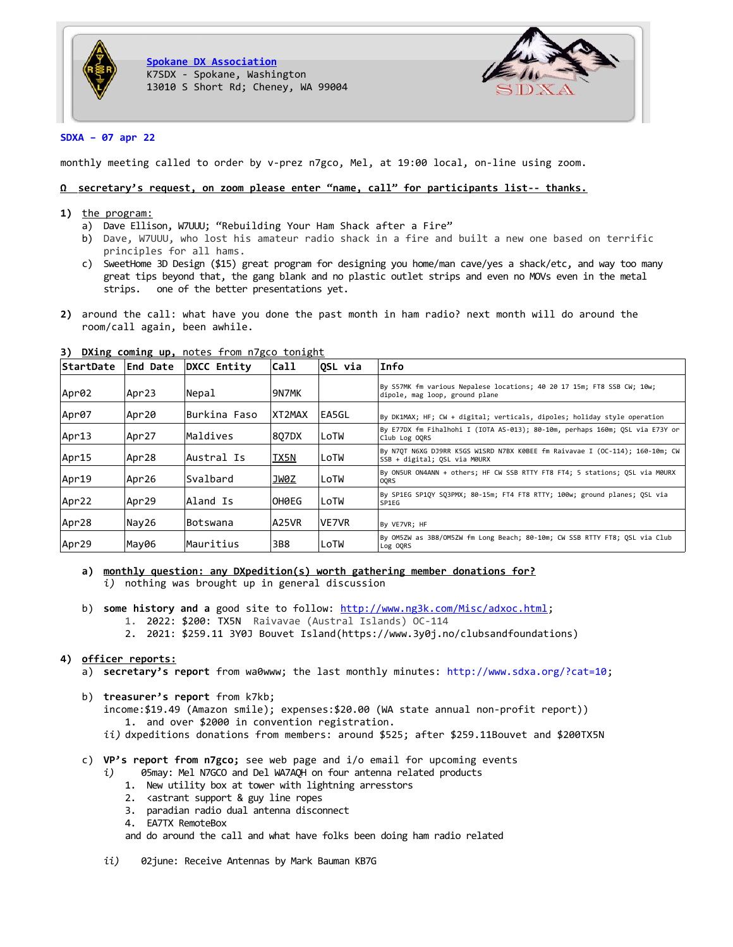



## **SDXA – 07 apr 22**

monthly meeting called to order by v-prez n7gco, Mel, at 19:00 local, on-line using zoom.

## **Ω secretary's request, on zoom please enter "name, call" for participants list-- thanks.**

## **1)** the program:

- a) Dave Ellison, W7UUU; "Rebuilding Your Ham Shack after a Fire"
- b) Dave, W7UUU, who lost his amateur radio shack in a fire and built a new one based on terrific principles for all hams.
- c) SweetHome 3D Design (\$15) great program for designing you home/man cave/yes a shack/etc, and way too many great tips beyond that, the gang blank and no plastic outlet strips and even no MOVs even in the metal strips. one of the better presentations yet.
- **2)** around the call: what have you done the past month in ham radio? next month will do around the room/call again, been awhile.

| StartDate | End Date | DXCC Entity  | Call   | ∣OSL via     | Info                                                                                                         |
|-----------|----------|--------------|--------|--------------|--------------------------------------------------------------------------------------------------------------|
| Apr02     | Apr23    | Nepal        | 9N7MK  |              | By S57MK fm various Nepalese locations; 40 20 17 15m; FT8 SSB CW; 10w;<br>dipole, mag loop, ground plane     |
| Apr07     | Apr20    | Burkina Faso | XT2MAX | EA5GL        | By DK1MAX; HF; CW + digital; verticals, dipoles; holiday style operation                                     |
| Apr13     | Apr27    | Maldives     | 807DX  | LoTW         | By E77DX fm Fihalhohi I (IOTA AS-013); 80-10m, perhaps 160m; OSL via E73Y or<br>Club Log OORS                |
| Apr15     | Apr28    | Austral Is   | TX5N   | LoTW         | By N7OT N6XG DJ9RR K5GS W1SRD N7BX K0BEE fm Raivavae I (OC-114); 160-10m; CW<br>SSB + digital; QSL via M0URX |
| Apr19     | Apr26    | Svalbard     | JW0Z   | LoTW         | By ON5UR ON4ANN + others; HF CW SSB RTTY FT8 FT4; 5 stations; OSL via M0URX<br>00RS                          |
| Apr22     | Apr29    | Aland Is     | OH0EG  | LoTW         | By SP1EG SP1QY SQ3PMX; 80-15m; FT4 FT8 RTTY; 100w; ground planes; QSL via<br>SP1EG                           |
| Apr28     | Nay26    | Botswana     | A25VR  | <b>VE7VR</b> | By VE7VR; HF                                                                                                 |
| Apr29     | May06    | Mauritius    | 3B8    | LoTW         | By OM5ZW as 3B8/OM5ZW fm Long Beach; 80-10m; CW SSB RTTY FT8; OSL via Club<br>Log OQRS                       |

### **3) DXing coming up,** notes from n7gco tonight

**a) monthly question: any DXpedition(s) worth gathering member donations for?** *i)* nothing was brought up in general discussion

b) **some history and a** good site to follow: [http://www.ng3k.com/Misc/adxoc.html;](http://www.ng3k.com/Misc/adxoc.html) 1. 2022: \$200: TX5N Raivavae (Austral Islands) OC-114 2. 2021: \$259.11 3Y0J Bouvet Island(https://www.3y0j.no/clubsandfoundations)

## **4) officer reports:**

- a) **secretary's report** from wa0www; the last monthly minutes:<http://www.sdxa.org/?cat=10>;
- b) **treasurer's report** from k7kb;
	- income:\$19.49 (Amazon smile); expenses:\$20.00 (WA state annual non-profit report)) 1. and over \$2000 in convention registration.
	- *ii)* dxpeditions donations from members: around \$525; after \$259.11Bouvet and \$200TX5N
- c) **VP's report from n7gco;** see web page and i/o email for upcoming events
	- *i)* 05may: Mel N7GCO and Del WA7AQH on four antenna related products
		- 1. New utility box at tower with lightning arresstors
		- 2. <astrant support & guy line ropes
		- 3. paradian radio dual antenna disconnect
		- 4. EA7TX RemoteBox
		- and do around the call and what have folks been doing ham radio related
	- *ii)* 02june: Receive Antennas by Mark Bauman KB7G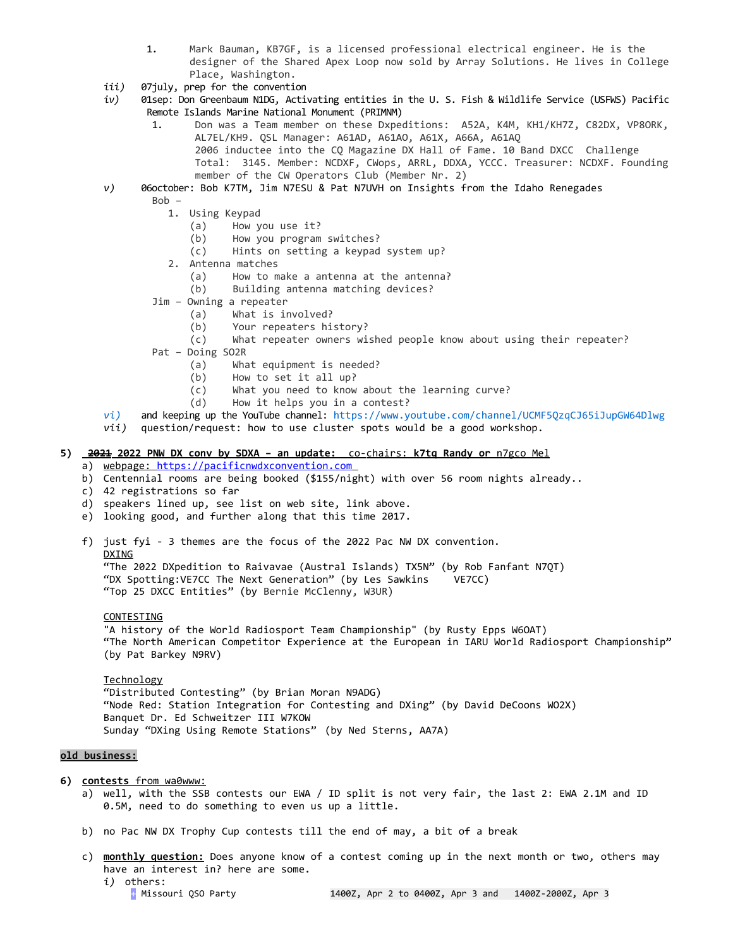- 1. Mark Bauman, KB7GF, is a licensed professional electrical engineer. He is the designer of the Shared Apex Loop now sold by Array Solutions. He lives in College Place, Washington.
- *iii)* 07july, prep for the convention
- *iv)* 01sep: Don Greenbaum N1DG, Activating entities in the U. S. Fish & Wildlife Service (USFWS) Pacific Remote Islands Marine National Monument (PRIMNM)
	- 1. Don was a Team member on these Dxpeditions: A52A, K4M, KH1/KH7Z, C82DX, VP8ORK, AL7EL/KH9. QSL Manager: A61AD, A61AO, A61X, A66A, A61AQ 2006 inductee into the CQ Magazine DX Hall of Fame. 10 Band DXCC Challenge Total: 3145. Member: NCDXF, CWops, ARRL, DDXA, YCCC. Treasurer: NCDXF. Founding member of the CW Operators Club (Member Nr. 2)
- *v)* 06october: Bob K7TM, Jim N7ESU & Pat N7UVH on Insights from the Idaho Renegades Bob –
	- 1. Using Keypad
		- (a) How you use it?
		- (b) How you program switches?
		- (c) Hints on setting a keypad system up?
	- 2. Antenna matches
		- (a) How to make a antenna at the antenna?
		- (b) Building antenna matching devices?
	- Jim Owning a repeater
		- (a) What is involved?
		- (b) Your repeaters history?
		- (c) What repeater owners wished people know about using their repeater?
	- Pat Doing SO2R
		- (a) What equipment is needed?
		- (b) How to set it all up?
		- (c) What you need to know about the learning curve?
		- (d) How it helps you in a contest?
- *vi)* and keeping up the YouTube channel: <https://www.youtube.com/channel/UCMF5QzqCJ65iJupGW64Dlwg>
- *vii)* question/request: how to use cluster spots would be a good workshop.
- **5) 2021 2022 PNW DX conv by SDXA an update:** co-chairs: **k7tq Randy or** n7gco Mel
	- a) webpage: [https://pacificnwdxconvention.com](https://pacificnwdxconvention.com/)
	- b) Centennial rooms are being booked (\$155/night) with over 56 room nights already..
	- c) 42 registrations so far
	- d) speakers lined up, see list on web site, link above.
	- e) looking good, and further along that this time 2017.
	- f) just fyi 3 themes are the focus of the 2022 Pac NW DX convention. DXING

"The 2022 DXpedition to Raivavae (Austral Islands) TX5N" (by Rob Fanfant N7QT) "DX Spotting:VE7CC The Next Generation" (by Les Sawkins VE7CC) "Top 25 DXCC Entities" (by Bernie McClenny, W3UR)

CONTESTING

"A history of the World Radiosport Team Championship" (by Rusty Epps W6OAT) "The North American Competitor Experience at the European in IARU World Radiosport Championship" (by Pat Barkey N9RV)

Technology

"Distributed Contesting" (by Brian Moran N9ADG) "Node Red: Station Integration for Contesting and DXing" (by David DeCoons WO2X) Banquet Dr. Ed Schweitzer III W7KOW Sunday "DXing Using Remote Stations" (by Ned Sterns, AA7A)

## **old business:**

- **6) contests** from wa0www:
	- a) well, with the SSB contests our EWA / ID split is not very fair, the last 2: EWA 2.1M and ID 0.5M, need to do something to even us up a little.
	- b) no Pac NW DX Trophy Cup contests till the end of may, a bit of a break
	- c) **monthly question:** Does anyone know of a contest coming up in the next month or two, others may have an interest in? here are some. *i)* others: 1400Z, Apr 2 to 0400Z, Apr 3 and 1400Z-2000Z, Apr 3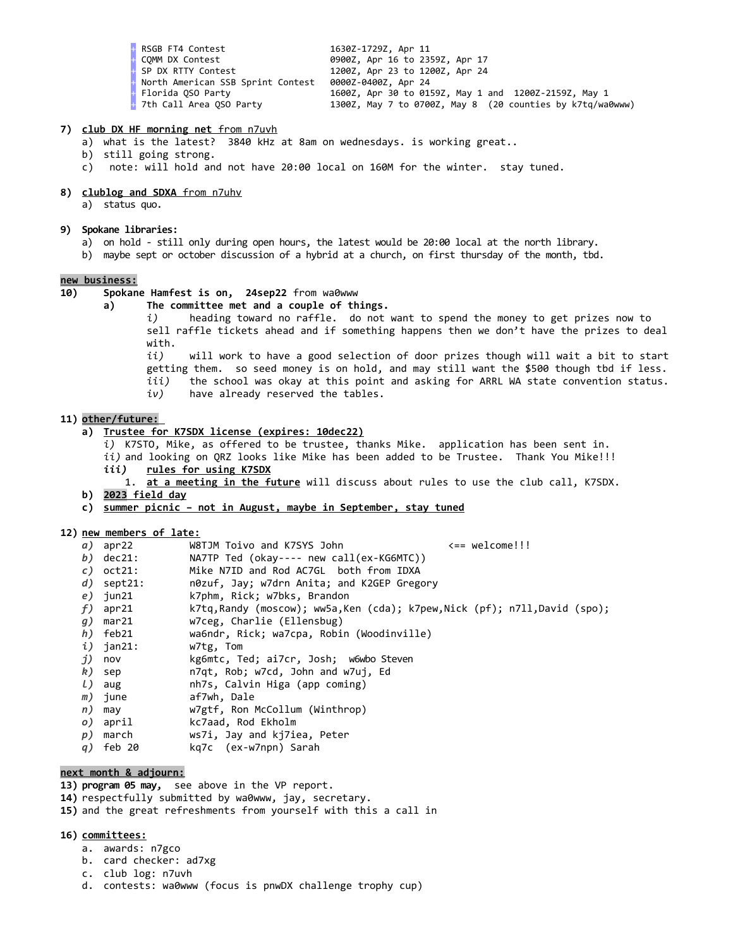| <b>RSGB FT4 Contest</b>           | 1630Z-1729Z, Apr 11                                       |
|-----------------------------------|-----------------------------------------------------------|
| COMM DX Contest                   | 0900Z, Apr 16 to 2359Z, Apr 17                            |
| SP DX RTTY Contest                | 1200Z, Apr 23 to 1200Z, Apr 24                            |
| North American SSB Sprint Contest | 0000Z-0400Z, Apr 24                                       |
| Florida OSO Party                 | 1600Z, Apr 30 to 0159Z, May 1 and 1200Z-2159Z, May 1      |
| . 7th Call Area OSO Party         | 1300Z, May 7 to 0700Z, May 8 (20 counties by k7tg/wa0www) |

### **7) club DX HF morning net** from n7uvh

- a) what is the latest? 3840 kHz at 8am on wednesdays. is working great..
- b) still going strong.
- c) note: will hold and not have 20:00 local on 160M for the winter. stay tuned.
- **8) clublog and SDXA** from n7uhv
	- a) status quo.

#### **9) Spokane libraries:**

- a) on hold still only during open hours, the latest would be 20:00 local at the north library.
- b) maybe sept or october discussion of a hybrid at a church, on first thursday of the month, tbd.

#### **new business:**

- **10) Spokane Hamfest is on, 24sep22** from wa0www
	- **a) The committee met and a couple of things.**

*i)* heading toward no raffle. do not want to spend the money to get prizes now to sell raffle tickets ahead and if something happens then we don't have the prizes to deal with.

*ii)* will work to have a good selection of door prizes though will wait a bit to start getting them. so seed money is on hold, and may still want the \$500 though tbd if less. *iii)* the school was okay at this point and asking for ARRL WA state convention status.

*iv)* have already reserved the tables.

#### **11) other/future:**

#### **a) Trustee for K7SDX license (expires: 10dec22)**

*i)* K7STO, Mike, as offered to be trustee, thanks Mike. application has been sent in.

ii) and looking on QRZ looks like Mike has been added to be Trustee. Thank You Mike!!!

- *iii)* **rules for using K7SDX**
	- 1. **at a meeting in the future** will discuss about rules to use the club call, K7SDX.
- **b)** 2023 field day
- **c) s ummer picnic not in August, maybe in September, stay tuned**

#### **12) new members of late:**

| $a)$ apr22        | W8TJM Toivo and K7SYS John                                              | $\leq$ = $\leq$ welcome!!! |
|-------------------|-------------------------------------------------------------------------|----------------------------|
| <i>b</i> ) dec21: | NA7TP Ted (okay---- new call(ex-KG6MTC))                                |                            |
| $c)$ oct21:       | Mike N7ID and Rod AC7GL both from IDXA                                  |                            |
| $d)$ sept21:      | n0zuf, Jay; w7drn Anita; and K2GEP Gregory                              |                            |
| $e)$ jun21        | k7phm, Rick; w7bks, Brandon                                             |                            |
| $f)$ apr21        | k7tq,Randy (moscow); ww5a,Ken (cda); k7pew,Nick (pf); n7ll,David (spo); |                            |
| $q$ ) mar21       | w7ceg, Charlie (Ellensbug)                                              |                            |
| $h)$ feb21        | wa6ndr, Rick; wa7cpa, Robin (Woodinville)                               |                            |
| $i)$ jan21:       | w7tg, Tom                                                               |                            |
| j) nov            | kg6mtc, Ted; ai7cr, Josh; w6wbo Steven                                  |                            |
| k) sep            | n7qt, Rob; w7cd, John and w7uj, Ed                                      |                            |
| $l$ ) aug         | nh7s, Calvin Higa (app coming)                                          |                            |
| <i>m</i> ) june   | af7wh, Dale                                                             |                            |
| n) may            | w7gtf, Ron McCollum (Winthrop)                                          |                            |
| o) april          | kc7aad, Rod Ekholm                                                      |                            |
| p) march          | ws7i, Jay and kj7iea, Peter                                             |                            |
| $a)$ fob $20$     | $\sqrt{a^2c}$ (av $\sqrt{a^2n}$ nn) Canab                               |                            |

*q)* feb 20 kq7c (ex-w7npn) Sarah

## **next month & adjourn:**

**13) program 05 may,** see above in the VP report.

- **14)** respectfully submitted by wa0www, jay, secretary.
- **15)** and the great refreshments from yourself with this a call in

### **16) committees:**

- a. awards: n7gco
- b. card checker: ad7xg
- c. club log: n7uvh
- d. contests: wa0www (focus is pnwDX challenge trophy cup)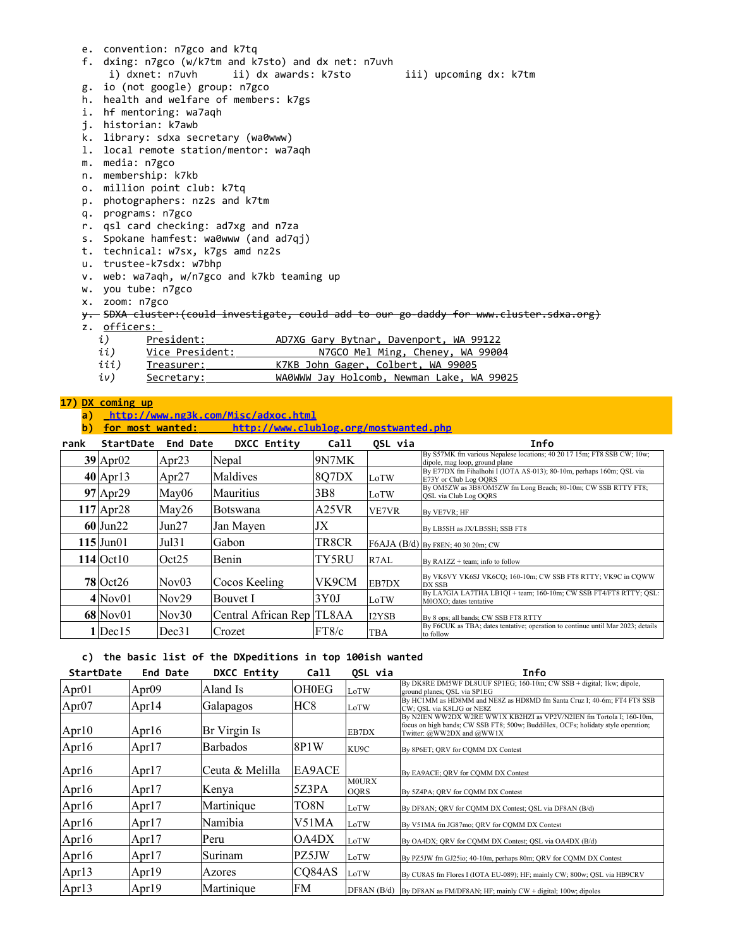- e. convention: n7gco and k7tq f. dxing: n7gco (w/k7tm and k7sto) and dx net: n7uvh i) dxnet: n7uvh ii) dx awards: k7sto iii) upcoming dx: k7tm g. io (not google) group: n7gco h. health and welfare of members: k7gs i. hf mentoring: wa7aqh j. historian: k7awb k. library: sdxa secretary (wa0www) l. local remote station/mentor: wa7aqh m. media: n7gco n. membership: k7kb o. million point club: k7tq p. photographers: nz2s and k7tm q. programs: n7gco r. qsl card checking: ad7xg and n7za s. Spokane hamfest: wa0www (and ad7qj)
- t. technical: w7sx, k7gs amd nz2s
- u. trustee-k7sdx: w7bhp
- v. web: wa7aqh, w/n7gco and k7kb teaming up
- w. you tube: n7gco
- x. zoom: n7gco
- y. SDXA cluster:(could investigate, could add to our go-daddy for www.cluster.sdxa.org)
- z. officers:
	- *i)* President: AD7XG Gary Bytnar, Davenport, WA 99122
	- *ii)* Vice President: N7GCO Mel Ming, Cheney, WA 99004
	- iii) Treasurer: K7KB John Gager, Colbert, WA 99005
	- *iv)* Secretary: WA0WWW Jay Holcomb, Newman Lake, WA 99025

# **17) DX coming up**

**a)<http://www.ng3k.com/Misc/adxoc.html>**

```
b) for most wanted: http://www.clublog.org/mostwanted.php
```

| rank | <b>StartDate</b>        | End Date | <b>DXCC Entity</b>        | Call            | OSL via      | Info                                                                                                     |
|------|-------------------------|----------|---------------------------|-----------------|--------------|----------------------------------------------------------------------------------------------------------|
|      | $39$  Apr $02$          | Apr $23$ | Nepal                     | 9N7MK           |              | By S57MK fm various Nepalese locations; 40 20 17 15m; FT8 SSB CW; 10w;<br>dipole, mag loop, ground plane |
|      | $40$  Apr $13$          | Apr $27$ | Maldives                  | 8Q7DX           | LoTW         | By E77DX fm Fihalhohi I (IOTA AS-013); 80-10m, perhaps 160m; QSL via<br>E73Y or Club Log OQRS            |
|      | $97$  Apr <sub>29</sub> | May06    | Mauritius                 | 3B <sub>8</sub> | LoTW         | By OM5ZW as 3B8/OM5ZW fm Long Beach; 80-10m; CW SSB RTTY FT8;<br><b>QSL</b> via Club Log OQRS            |
|      | $117$  Apr $28$         | May26    | <b>Botswana</b>           | A25VR           | <b>VE7VR</b> | By VE7VR; HF                                                                                             |
|      | $60$ Jun22              | Jun27    | Jan Mayen                 | JX              |              | By LB5SH as JX/LB5SH; SSB FT8                                                                            |
|      | $115$ Jun $01$          | Jul31    | Gabon                     | TR8CR           |              | $ F6AJA(B/d) _{BV}$ F8EN; 40 30 20m; CW                                                                  |
|      | $114$ Oct $10$          | Oct25    | Benin                     | TY5RU           | R7AL         | By $RA1ZZ + \text{team}$ ; info to follow                                                                |
|      | $78$ Oct $26$           | Nov03    | Cocos Keeling             | VK9CM           | EB7DX        | By VK6VY VK6SJ VK6CQ; 160-10m; CW SSB FT8 RTTY; VK9C in CQWW<br>DX SSB                                   |
|      | $4$ Nov $01$            | Nov29    | Bouvet I                  | 3Y0J            | LoTW         | By LA7GIA LA7THA LB1QI + team; 160-10m; CW SSB FT4/FT8 RTTY; QSL:<br>M0OXO: dates tentative              |
|      | $68$ Nov $01$           | Nov30    | Central African Rep TL8AA |                 | I2YSB        | By 8 ops; all bands; CW SSB FT8 RTTY                                                                     |
|      | $1$ Dec $15$            | Dec31    | Crozet                    | FT8/c           | <b>TBA</b>   | By F6CUK as TBA; dates tentative; operation to continue until Mar 2023; details<br>to follow             |

## **c) the basic list of the DXpeditions in top 100ish wanted**

| <b>StartDate</b>  | End Date          | DXCC Entity     | Call   | OSL via                     | Info                                                                                                                                                                                  |
|-------------------|-------------------|-----------------|--------|-----------------------------|---------------------------------------------------------------------------------------------------------------------------------------------------------------------------------------|
| Apr01             | Apr <sub>09</sub> | Aland Is        | OH0EG  | LoTW                        | By DK8RE DM5WF DL8UUF SP1EG; 160-10m; CW SSB + digital; 1kw; dipole,<br>ground planes; QSL via SP1EG                                                                                  |
| Apr <sub>07</sub> | Apr $14$          | Galapagos       | HC8    | LoTW                        | By HC1MM as HD8MM and NE8Z as HD8MD fm Santa Cruz I; 40-6m; FT4 FT8 SSB<br>CW: OSL via K8LJG or NE8Z                                                                                  |
| Apr $10$          | Apr <sub>16</sub> | Br Virgin Is    |        | EB7DX                       | By N2IEN WW2DX W2RE WW1X KB2HZI as VP2V/N2IEN fm Tortola I; 160-10m,<br>focus on high bands; CW SSB FT8; 500w; BuddiHex, OCFs; holidaty style operation;<br>Twitter: @WW2DX and @WW1X |
| Apr <sub>16</sub> | Apr <sub>17</sub> | <b>Barbados</b> | 8P1W   | KU9C                        | By 8P6ET; ORV for COMM DX Contest                                                                                                                                                     |
| Apr $16$          | Apr $17$          | Ceuta & Melilla | EA9ACE |                             | By EA9ACE; ORV for COMM DX Contest                                                                                                                                                    |
| Apr $16$          | Apr $17$          | Kenya           | 5Z3PA  | <b>M0URX</b><br><b>OORS</b> | By 5Z4PA; QRV for CQMM DX Contest                                                                                                                                                     |
| Apr <sub>16</sub> | Apr <sub>17</sub> | Martinique      | TO8N   | LoTW                        | By DF8AN; QRV for CQMM DX Contest; QSL via DF8AN (B/d)                                                                                                                                |
| Apr $16$          | Apr $17$          | Namibia         | V51MA  | LoTW                        | By V51MA fm JG87mo; QRV for CQMM DX Contest                                                                                                                                           |
| Apr16             | Apr $17$          | Peru            | OA4DX  | LoTW                        | By OA4DX; QRV for CQMM DX Contest; QSL via OA4DX (B/d)                                                                                                                                |
| Apr $16$          | Apr $17$          | Surinam         | PZ5JW  | LoTW                        | By PZ5JW fm GJ25io; 40-10m, perhaps 80m; QRV for CQMM DX Contest                                                                                                                      |
| Apr <sub>13</sub> | Apr <sub>19</sub> | Azores          | CQ84AS | LoTW                        | By CU8AS fm Flores I (IOTA EU-089); HF; mainly CW; 800w; OSL via HB9CRV                                                                                                               |
| Apr13             | Apr <sub>19</sub> | Martinique      | FM     | DF8AN(B/d)                  | By DF8AN as FM/DF8AN; HF; mainly CW + digital; 100w; dipoles                                                                                                                          |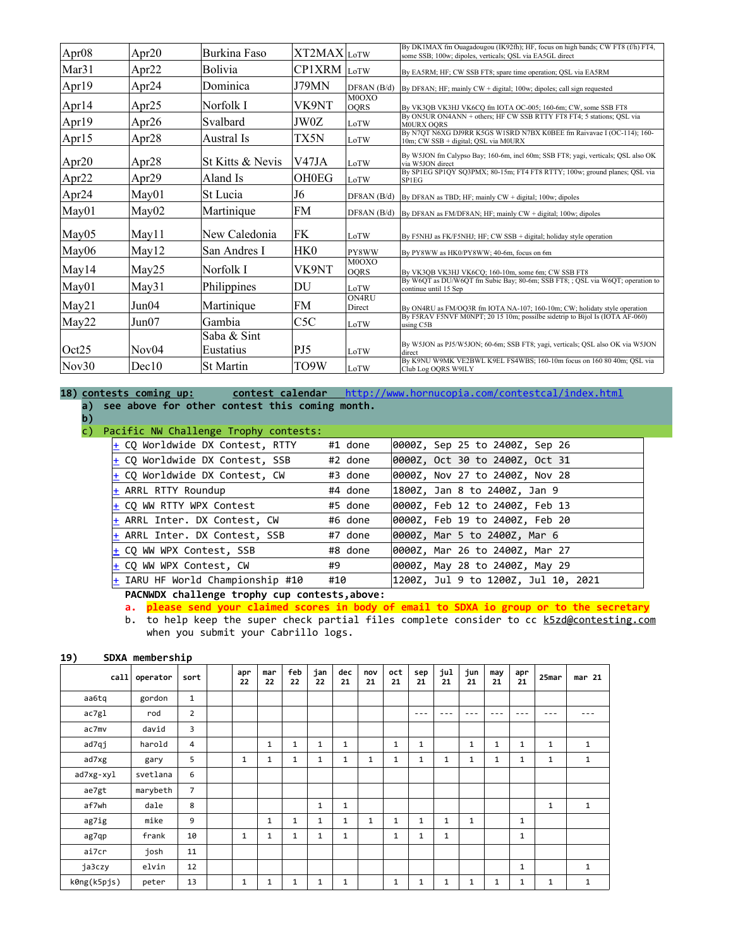| Apr <sub>08</sub> | Apr $20$          | Burkina Faso             | XT2MAX LoTW     |                      | By DK1MAX fm Ouagadougou (IK92fh); HF, focus on high bands; CW FT8 (f/h) FT4,<br>some SSB; 100w; dipoles, verticals; QSL via EA5GL direct |
|-------------------|-------------------|--------------------------|-----------------|----------------------|-------------------------------------------------------------------------------------------------------------------------------------------|
| Mar <sub>31</sub> | Apr $22$          | <b>Bolivia</b>           | CP1XRM LOTW     |                      | By EA5RM; HF; CW SSB FT8; spare time operation; QSL via EA5RM                                                                             |
| Apr19             | Apr $24$          | Dominica                 | J79MN           | DF8AN(B/d)           | By DF8AN; HF; mainly CW + digital; 100w; dipoles; call sign requested                                                                     |
| Apr $14$          | Apr $25$          | Norfolk I                | VK9NT           | M0OXO<br><b>OORS</b> | By VK3QB VK3HJ VK6CQ fm IOTA OC-005; 160-6m; CW, some SSB FT8                                                                             |
| Apr $19$          | Apr $26$          | Svalbard                 | JW0Z            | LoTW                 | By ON5UR ON4ANN + others: HF CW SSB RTTY FT8 FT4: 5 stations: OSL via<br><b>MOURX OORS</b>                                                |
| Apr15             | Apr <sub>28</sub> | Austral Is               | TX5N            | LoTW                 | By N7QT N6XG DJ9RR K5GS W1SRD N7BX K0BEE fm Raivavae I (OC-114); 160-<br>10m; CW SSB + digital; QSL via M0URX                             |
| Apr $20$          | Apr <sub>28</sub> | St Kitts & Nevis         | V47JA           | LoTW                 | By W5JON fm Calypso Bay; 160-6m, incl 60m; SSB FT8; yagi, verticals; OSL also OK<br>via W5JON direct                                      |
| Apr $22$          | Apr29             | Aland Is                 | <b>OH0EG</b>    | LoTW                 | By SP1EG SP1QY SQ3PMX; 80-15m; FT4 FT8 RTTY; 100w; ground planes; QSL via<br>SP1EG                                                        |
| Apr $24$          | May01             | St Lucia                 | J6              |                      | DF8AN (B/d)  By DF8AN as TBD; HF; mainly $CW$ + digital; 100w; dipoles                                                                    |
| May01             | May02             | Martinique               | FM              |                      | DF8AN (B/d)  By DF8AN as FM/DF8AN; HF; mainly CW + digital; 100w; dipoles                                                                 |
| May05             | May11             | New Caledonia            | FK              | LoTW                 | By F5NHJ as FK/F5NHJ; HF; CW SSB + digital; holiday style operation                                                                       |
| May06             | May12             | San Andres I             | HK <sub>0</sub> | <b>PY8WW</b>         | By PY8WW as HK0/PY8WW; 40-6m, focus on 6m                                                                                                 |
| May14             | May25             | Norfolk I                | VK9NT           | M0OXO<br><b>OORS</b> | By VK3QB VK3HJ VK6CQ; 160-10m, some 6m; CW SSB FT8                                                                                        |
| May01             | May31             | Philippines              | DU              | LoTW                 | By W6OT as DU/W6OT fm Subic Bay; 80-6m; SSB FT8; ; OSL via W6OT; operation to<br>continue until 15 Sep                                    |
| May21             | Jun04             | Martinique               | FM              | ON4RU<br>Direct      | By ON4RU as FM/OQ3R fm IOTA NA-107; 160-10m; CW; holidaty style operation                                                                 |
| May22             | Jun07             | Gambia                   | C5C             | LoTW                 | By F5RAV F5NVF M0NPT; 20 15 10m; possilbe sidetrip to Bijol Is (IOTA AF-060)<br>using C5B                                                 |
| Oct25             | Nov04             | Saba & Sint<br>Eustatius | PJ5             | LoTW                 | By W5JON as PJ5/W5JON; 60-6m; SSB FT8; yagi, verticals; QSL also OK via W5JON<br>direct                                                   |
| Nov30             | Dec10             | <b>St Martin</b>         | TO9W            | LoTW                 | By K9NU W9MK VE2BWL K9EL FS4WBS; 160-10m focus on 160 80 40m; QSL via<br>Club Log OQRS W9ILY                                              |

**18) contests coming up: contest calendar** <http://www.hornucopia.com/contestcal/index.html>

**a) see above for other contest this coming month.** 

**b)** c) Pacific NW Challenge Trophy contests:

| $\pm$ CQ Worldwide DX Contest, RTTY          | #1 done | 0000Z, Sep 25 to 2400Z, Sep 26      |
|----------------------------------------------|---------|-------------------------------------|
| $+$ CQ Worldwide DX Contest, SSB             | #2 done | 0000Z, Oct 30 to 2400Z, Oct 31      |
| $+$ CO Worldwide DX Contest, CW              | #3 done | 0000Z, Nov 27 to 2400Z, Nov 28      |
| + ARRL RTTY Roundup                          | #4 done | 1800Z, Jan 8 to 2400Z, Jan 9        |
| + CO WW RTTY WPX Contest                     | #5 done | 0000Z, Feb 12 to 2400Z, Feb 13      |
| + ARRL Inter. DX Contest, CW                 | #6 done | 0000Z, Feb 19 to 2400Z, Feb 20      |
| + ARRL Inter. DX Contest, SSB                | #7 done | 0000Z, Mar 5 to 2400Z, Mar 6        |
| + CQ WW WPX Contest, SSB                     | #8 done | 0000Z, Mar 26 to 2400Z, Mar 27      |
| + CO WW WPX Contest, CW                      | #9      | 0000Z, May 28 to 2400Z, May 29      |
| $\frac{1}{2}$ IARU HF World Championship #10 | #10     | 1200Z, Jul 9 to 1200Z, Jul 10, 2021 |

**PACNWDX challenge trophy cup contests,above:**

**a. please send your claimed scores in body of email to SDXA io group or to the secretary**  b. to help keep the super check partial files complete consider to cc [k5zd@contesting.com](mailto:k5zd@contesting.com) when you submit your Cabrillo logs.

# **19) SDXA membership**

| cal1        | operator | sort           | apr<br>22    | mar<br>22    | feb<br>22 | jan<br>22    | dec<br>21 | nov<br>21 | oct<br>21    | sep<br>21 | jul<br>21 | jun<br>21 | may<br>21    | apr<br>21    | 25mar        | mar <sub>21</sub> |
|-------------|----------|----------------|--------------|--------------|-----------|--------------|-----------|-----------|--------------|-----------|-----------|-----------|--------------|--------------|--------------|-------------------|
| aa6tq       | gordon   | $\mathbf{1}$   |              |              |           |              |           |           |              |           |           |           |              |              |              |                   |
| ac7gl       | rod      | $\overline{2}$ |              |              |           |              |           |           |              | $- - -$   | $- - -$   | ---       | ---          | ---          | ---          |                   |
| ac7mv       | david    | 3              |              |              |           |              |           |           |              |           |           |           |              |              |              |                   |
| ad7qj       | harold   | 4              |              | $\mathbf{1}$ | 1         | $\mathbf{1}$ | 1         |           | 1            | 1         |           | 1         | $\mathbf{1}$ | 1            | $\mathbf{1}$ | 1                 |
| ad7xg       | gary     | 5              | $\mathbf{1}$ | 1            | 1         | 1            | 1         | 1         | 1            | 1         | 1         | 1         | 1            | 1            | $\mathbf{1}$ | $\mathbf{1}$      |
| ad7xg-xyl   | svetlana | 6              |              |              |           |              |           |           |              |           |           |           |              |              |              |                   |
| ae7gt       | marybeth | $\overline{7}$ |              |              |           |              |           |           |              |           |           |           |              |              |              |                   |
| af7wh       | dale     | 8              |              |              |           | $\mathbf{1}$ | 1         |           |              |           |           |           |              |              | $\mathbf{1}$ | 1                 |
| ag7ig       | mike     | 9              |              | 1            | 1         | 1            | 1         | 1         | $\mathbf{1}$ | 1         | 1         | 1         |              | 1            |              |                   |
| ag7qp       | frank    | 10             | 1            | 1            | 1         | 1            | 1         |           | 1            | 1         | 1         |           |              | 1            |              |                   |
| ai7cr       | josh     | 11             |              |              |           |              |           |           |              |           |           |           |              |              |              |                   |
| ja3czy      | elvin    | 12             |              |              |           |              |           |           |              |           |           |           |              | $\mathbf{1}$ |              | $\mathbf{1}$      |
| k0ng(k5pjs) | peter    | 13             | 1            | 1            | 1         | 1            | 1         |           | 1            | 1         | 1         | 1         | $\mathbf{1}$ | 1            | 1            | $\mathbf{1}$      |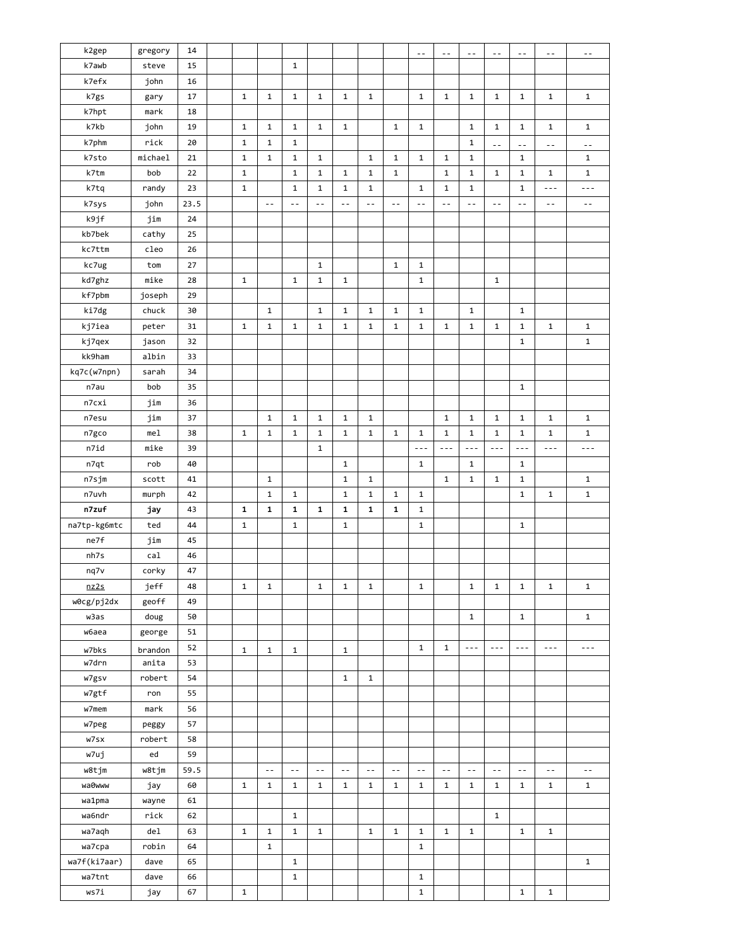| k7awb<br>15<br>$\mathbf{1}$<br>steve<br>k7efx<br>john<br>16<br>$\mathbf{1}$<br>k7gs<br>17<br>$\mathbf{1}$<br>$\mathbf{1}$<br>$\mathbf{1}$<br>$\mathbf{1}$<br>$\mathbf{1}$<br>$\mathbf{1}$<br>$\mathbf{1}$<br>$\mathbf{1}$<br>$\mathbf{1}$<br>$\mathbf{1}$<br>$\mathbf{1}$<br>1<br>gary<br>k7hpt<br>mark<br>18<br>k7kb<br>john<br>19<br>$\mathbf{1}$<br>$\mathbf{1}$<br>$\mathbf{1}$<br>$\mathbf{1}$<br>$\mathbf{1}$<br>$\mathbf{1}$<br>$\mathbf{1}$<br>$\mathbf{1}$<br>$\mathbf{1}$<br>1<br>$\mathbf{1}$<br>1<br>$\mathbf{1}$<br>$\mathbf{1}$<br>$\mathbf{1}$<br>k7phm<br>rick<br>20<br>$\mathbf{1}$<br>$\overline{a}$<br>$\overline{a}$<br>$\overline{a}$<br>$-$<br>$\mathbf{1}$<br>michael<br>21<br>$\mathbf{1}$<br>$\mathbf{1}$<br>$\mathbf{1}$<br>$\mathbf{1}$<br>$\mathbf{1}$<br>$\mathbf{1}$<br>$\mathbf{1}$<br>$\mathbf{1}$<br>$\mathbf{1}$<br>k7sto<br>$\mathbf{1}$<br>bob<br>$\mathbf{1}$<br>$\mathbf{1}$<br>$\mathbf 1$<br>$\mathbf 1$<br>$\mathbf{1}$<br>$\mathbf 1$<br>$\mathbf{1}$<br>k7tm<br>22<br>$\mathbf{1}$<br>$\mathbf{1}$<br>$\mathbf{1}$<br>$\mathbf{1}$<br>$\mathbf{1}$<br>k7tq<br>randy<br>23<br>$\mathbf{1}$<br>1<br>$\mathbf 1$<br>$\mathbf 1$<br>$\mathbf 1$<br>$\mathbf{1}$<br>$\mathbf{1}$<br>1<br>1<br>$- - -$<br>$- - -$<br>john<br>23.5<br>k7sys<br>$\mathbb{L}^{\perp}$<br>$\mathbb{L}^{\perp}$<br>$\sim$ $-$<br>$\sim$ $-$<br>$\sim$ $-$<br>$\sim$ $-$<br>$\sim$ $-$<br>$\sim$ $-$<br>$\sim$ $-$<br>$\sim$ $-$<br>$\sim$ $-$<br>$\sim$ $-$<br>$\sim$ $-$<br>k9jf<br>jim<br>24<br>kb7bek<br>cathy<br>25<br>kc7ttm<br>cleo<br>26<br>27<br>$\mathbf{1}$<br>$\mathbf{1}$<br>kc7ug<br>tom<br>$\mathbf{1}$<br>kd7ghz<br>mike<br>28<br>$\mathbf{1}$<br>$\mathbf{1}$<br>$\mathbf{1}$<br>$\mathbf{1}$<br>$\mathbf{1}$<br>$\mathbf{1}$<br>29<br>kf7pbm<br>joseph<br>ki7dg<br>chuck<br>30<br>$\mathbf 1$<br>$\mathbf{1}$<br>$\mathbf{1}$<br>$\mathbf{1}$<br>$\mathbf{1}$<br>$\mathbf{1}$<br>$\mathbf{1}$<br>$\mathbf{1}$<br>kj7iea<br>$\mathbf 1$<br>$\mathbf{1}$<br>$\mathbf{1}$<br>$\mathbf 1$<br>$\mathbf{1}$<br>$\mathbf{1}$<br>peter<br>31<br>$\mathbf{1}$<br>1<br>1<br>$\mathbf 1$<br>$\mathbf{1}$<br>$\mathbf{1}$<br>$\mathbf{1}$<br>$\mathbf{1}$<br>$\mathbf{1}$<br>kj7qex<br>jason<br>32<br>$\mathbf{1}$<br>kk9ham<br>albin<br>33<br>kq7c(w7npn)<br>34<br>sarah<br>n7au<br>bob<br>35<br>$\mathbf{1}$<br>n7cxi<br>jim<br>36<br>n7esu<br>$\mathbf 1$<br>$\mathbf{1}$<br>jim<br>37<br>1<br>1<br>1<br>1<br>1<br>1<br>$\mathbf{1}$<br>$\mathbf{1}$<br>$\mathbf{1}$<br>$\mathbf 1$<br>$\mathbf 1$<br>n7gco<br>mel<br>38<br>$\mathbf{1}$<br>$\mathbf{1}$<br>1<br>1<br>$\mathbf{1}$<br>$\mathbf 1$<br>$\mathbf{1}$<br>$\mathbf 1$<br>$\mathbf{1}$<br>$\mathbf{1}$<br>$\mathbf{1}$<br>$\mathbf{1}$<br>n7id<br>mike<br>39<br>$\sim$ $\sim$<br>1<br>$- - -$<br>$- - -$<br>$- - -$<br>$\sim$ $\sim$ $\sim$<br>$- - -$<br>$- - -$<br>n7qt<br>40<br>rob<br>$\mathbf{1}$<br>$\mathbf{1}$<br>$\mathbf{1}$<br>$\mathbf{1}$<br>$\mathbf{1}$<br>scott<br>41<br>$\mathbf{1}$<br>$\mathbf{1}$<br>$\mathbf{1}$<br>$\mathbf{1}$<br>$\mathbf{1}$<br>$\mathbf{1}$<br>$\mathbf{1}$<br>n7sjm<br>42<br>$\mathbf 1$<br>$\mathbf{1}$<br>$\mathbf{1}$<br>$\mathbf 1$<br>$\mathbf{1}$<br>$\mathbf{1}$<br>$\mathbf{1}$<br>$\mathbf{1}$<br>n7uvh<br>murph<br>$\mathbf{1}$<br>n7zuf<br>$\mathbf 1$<br>$\mathbf{1}$<br>$\mathbf{1}$<br>$\mathbf{1}$<br>$\mathbf{1}$<br>43<br>$\mathbf{1}$<br>$\mathbf{1}$<br>$\mathbf{1}$<br>јау<br>na7tp-kg6mtc<br>$\mathbf{1}$<br>$\mathbf{1}$<br>ted<br>44<br>$\mathbf{1}$<br>$\mathbf{1}$<br>$\mathbf{1}$<br>ne7f<br>jim<br>45<br>nh7s<br>cal<br>46<br>47<br>nq7v<br>corky<br>jeff<br>$\mathbf 1$<br>nz2s<br>48<br>$\mathbf{1}$<br>$\mathbf{1}$<br>$\mathbf{1}$<br>$\mathbf{1}$<br>$\mathbf{1}$<br>$\mathbf{1}$<br>$\mathbf{1}$<br>$\mathbf{1}$<br>$\mathbf{1}$<br>$\mathbf 1$<br>w0cg/pj2dx<br>geoff<br>49<br>doug<br>50<br>$\mathbf{1}$<br>$\mathbf{1}$<br>$\mathbf{1}$<br>w3as<br><b>w</b> баеа<br>51<br>george<br>52<br>$\mathbf{1}$<br>$\mathbf 1$<br>$\sim$ $\sim$ $\sim$<br>$- - -$<br>$\sim$ $\sim$ $\sim$<br>$- - -$<br>$- - -$<br>w7bks<br>brandon<br>$\mathbf{1}$<br>$\mathbf{1}$<br>$\mathbf{1}$<br>1<br>w7drn<br>53<br>anita<br>robert<br>w7gsv<br>54<br>$\mathbf{1}$<br>$\mathbf{1}$<br>55<br>w7gtf<br>ron<br>w7mem<br>mark<br>56<br>57<br>w7peg<br>peggy<br>w7sx<br>robert<br>58<br>59<br>w7uj<br>ed<br>w8tjm<br>w8tjm<br>59.5<br>$\sim$ $-$<br>$\sim$ $-$<br>$\sim$ $-$<br>$\sim$ $-$<br>$\sim$ $-$<br>$\sim$ $-$<br>$\sim$ $-$<br>$\sim$ $-$<br>$\sim$ $\sim$<br>$\sim$ $-$<br>$\sim$ $-$<br>$\sim$ $-$<br>$\sim$ $-$<br>wa0www<br>60<br>$\mathbf{1}$<br>$\mathbf{1}$<br>$\mathbf{1}$<br>$\mathbf{1}$<br>$\mathbf 1$<br>$\mathbf 1$<br>$\mathbf{1}$<br>$\mathbf{1}$<br>$\mathbf{1}$<br>jay<br>1<br>$\mathbf{1}$<br>$\mathbf{1}$<br>1<br>1<br>wa1pma<br>wayne<br>61<br>$_{\rm{rick}}$<br>$\mathbf{1}$<br>wa6ndr<br>62<br>$\mathbf{1}$<br>$\mathbf{1}$<br>del<br>63<br>$\mathbf{1}$<br>$\mathbf 1$<br>$\mathbf{1}$<br>$\mathbf{1}$<br>$\mathbf{1}$<br>$\mathbf{1}$<br>$\mathbf{1}$<br>wa7aqh<br>$\mathbf{1}$<br>$\mathbf{1}$<br>$\mathbf{1}$<br>robin<br>64<br>$\mathbf{1}$<br>wa7cpa<br>$\mathbf{1}$<br>wa7f(ki7aar)<br>$\mathbf{1}$<br>$\mathbf 1$<br>dave<br>65<br>wa7tnt<br>dave<br>66<br>$\mathbf 1$<br>$\mathbf{1}$<br>ws7i<br>67<br>$\mathbf 1$<br>$\mathbf 1$<br>jay<br>$\mathbf{1}$<br>$\mathbf{1}$ | k2gep | gregory | 14 |  |  |  |  | $\sim$ $-$ | $\sim$ $-$ | $\sim$ $-$ | $\sim$ $-$ | $\sim$ $-$ | $ -$ | $\sim$ $-$ |
|------------------------------------------------------------------------------------------------------------------------------------------------------------------------------------------------------------------------------------------------------------------------------------------------------------------------------------------------------------------------------------------------------------------------------------------------------------------------------------------------------------------------------------------------------------------------------------------------------------------------------------------------------------------------------------------------------------------------------------------------------------------------------------------------------------------------------------------------------------------------------------------------------------------------------------------------------------------------------------------------------------------------------------------------------------------------------------------------------------------------------------------------------------------------------------------------------------------------------------------------------------------------------------------------------------------------------------------------------------------------------------------------------------------------------------------------------------------------------------------------------------------------------------------------------------------------------------------------------------------------------------------------------------------------------------------------------------------------------------------------------------------------------------------------------------------------------------------------------------------------------------------------------------------------------------------------------------------------------------------------------------------------------------------------------------------------------------------------------------------------------------------------------------------------------------------------------------------------------------------------------------------------------------------------------------------------------------------------------------------------------------------------------------------------------------------------------------------------------------------------------------------------------------------------------------------------------------------------------------------------------------------------------------------------------------------------------------------------------------------------------------------------------------------------------------------------------------------------------------------------------------------------------------------------------------------------------------------------------------------------------------------------------------------------------------------------------------------------------------------------------------------------------------------------------------------------------------------------------------------------------------------------------------------------------------------------------------------------------------------------------------------------------------------------------------------------------------------------------------------------------------------------------------------------------------------------------------------------------------------------------------------------------------------------------------------------------------------------------------------------------------------------------------------------------------------------------------------------------------------------------------------------------------------------------------------------------------------------------------------------------------------------------------------------------------------------------------------------------------------------------------------------------------------------------------------------------------------------------------------------------------------------------------------------------------------------------------------------------------------------------------------------------------------------------------------------------------------------------------------------------------------------------------------------------------------------------------------------------------------------------------------------------------------------------------------------------------------------------------------------------------------------------------------------------------------------------------------------------------------------------------------------------------------------------------------------------------------------------------------------------------------------------------------------------------------------------------------------------------------------------------------------------------------------------------------------------------------------------------------------------------------------------------------------------------------------------------------------------------|-------|---------|----|--|--|--|--|------------|------------|------------|------------|------------|------|------------|
|                                                                                                                                                                                                                                                                                                                                                                                                                                                                                                                                                                                                                                                                                                                                                                                                                                                                                                                                                                                                                                                                                                                                                                                                                                                                                                                                                                                                                                                                                                                                                                                                                                                                                                                                                                                                                                                                                                                                                                                                                                                                                                                                                                                                                                                                                                                                                                                                                                                                                                                                                                                                                                                                                                                                                                                                                                                                                                                                                                                                                                                                                                                                                                                                                                                                                                                                                                                                                                                                                                                                                                                                                                                                                                                                                                                                                                                                                                                                                                                                                                                                                                                                                                                                                                                                                                                                                                                                                                                                                                                                                                                                                                                                                                                                                                                                                                                                                                                                                                                                                                                                                                                                                                                                                                                                                                                                                            |       |         |    |  |  |  |  |            |            |            |            |            |      |            |
|                                                                                                                                                                                                                                                                                                                                                                                                                                                                                                                                                                                                                                                                                                                                                                                                                                                                                                                                                                                                                                                                                                                                                                                                                                                                                                                                                                                                                                                                                                                                                                                                                                                                                                                                                                                                                                                                                                                                                                                                                                                                                                                                                                                                                                                                                                                                                                                                                                                                                                                                                                                                                                                                                                                                                                                                                                                                                                                                                                                                                                                                                                                                                                                                                                                                                                                                                                                                                                                                                                                                                                                                                                                                                                                                                                                                                                                                                                                                                                                                                                                                                                                                                                                                                                                                                                                                                                                                                                                                                                                                                                                                                                                                                                                                                                                                                                                                                                                                                                                                                                                                                                                                                                                                                                                                                                                                                            |       |         |    |  |  |  |  |            |            |            |            |            |      |            |
|                                                                                                                                                                                                                                                                                                                                                                                                                                                                                                                                                                                                                                                                                                                                                                                                                                                                                                                                                                                                                                                                                                                                                                                                                                                                                                                                                                                                                                                                                                                                                                                                                                                                                                                                                                                                                                                                                                                                                                                                                                                                                                                                                                                                                                                                                                                                                                                                                                                                                                                                                                                                                                                                                                                                                                                                                                                                                                                                                                                                                                                                                                                                                                                                                                                                                                                                                                                                                                                                                                                                                                                                                                                                                                                                                                                                                                                                                                                                                                                                                                                                                                                                                                                                                                                                                                                                                                                                                                                                                                                                                                                                                                                                                                                                                                                                                                                                                                                                                                                                                                                                                                                                                                                                                                                                                                                                                            |       |         |    |  |  |  |  |            |            |            |            |            |      |            |
|                                                                                                                                                                                                                                                                                                                                                                                                                                                                                                                                                                                                                                                                                                                                                                                                                                                                                                                                                                                                                                                                                                                                                                                                                                                                                                                                                                                                                                                                                                                                                                                                                                                                                                                                                                                                                                                                                                                                                                                                                                                                                                                                                                                                                                                                                                                                                                                                                                                                                                                                                                                                                                                                                                                                                                                                                                                                                                                                                                                                                                                                                                                                                                                                                                                                                                                                                                                                                                                                                                                                                                                                                                                                                                                                                                                                                                                                                                                                                                                                                                                                                                                                                                                                                                                                                                                                                                                                                                                                                                                                                                                                                                                                                                                                                                                                                                                                                                                                                                                                                                                                                                                                                                                                                                                                                                                                                            |       |         |    |  |  |  |  |            |            |            |            |            |      |            |
|                                                                                                                                                                                                                                                                                                                                                                                                                                                                                                                                                                                                                                                                                                                                                                                                                                                                                                                                                                                                                                                                                                                                                                                                                                                                                                                                                                                                                                                                                                                                                                                                                                                                                                                                                                                                                                                                                                                                                                                                                                                                                                                                                                                                                                                                                                                                                                                                                                                                                                                                                                                                                                                                                                                                                                                                                                                                                                                                                                                                                                                                                                                                                                                                                                                                                                                                                                                                                                                                                                                                                                                                                                                                                                                                                                                                                                                                                                                                                                                                                                                                                                                                                                                                                                                                                                                                                                                                                                                                                                                                                                                                                                                                                                                                                                                                                                                                                                                                                                                                                                                                                                                                                                                                                                                                                                                                                            |       |         |    |  |  |  |  |            |            |            |            |            |      |            |
|                                                                                                                                                                                                                                                                                                                                                                                                                                                                                                                                                                                                                                                                                                                                                                                                                                                                                                                                                                                                                                                                                                                                                                                                                                                                                                                                                                                                                                                                                                                                                                                                                                                                                                                                                                                                                                                                                                                                                                                                                                                                                                                                                                                                                                                                                                                                                                                                                                                                                                                                                                                                                                                                                                                                                                                                                                                                                                                                                                                                                                                                                                                                                                                                                                                                                                                                                                                                                                                                                                                                                                                                                                                                                                                                                                                                                                                                                                                                                                                                                                                                                                                                                                                                                                                                                                                                                                                                                                                                                                                                                                                                                                                                                                                                                                                                                                                                                                                                                                                                                                                                                                                                                                                                                                                                                                                                                            |       |         |    |  |  |  |  |            |            |            |            |            |      |            |
|                                                                                                                                                                                                                                                                                                                                                                                                                                                                                                                                                                                                                                                                                                                                                                                                                                                                                                                                                                                                                                                                                                                                                                                                                                                                                                                                                                                                                                                                                                                                                                                                                                                                                                                                                                                                                                                                                                                                                                                                                                                                                                                                                                                                                                                                                                                                                                                                                                                                                                                                                                                                                                                                                                                                                                                                                                                                                                                                                                                                                                                                                                                                                                                                                                                                                                                                                                                                                                                                                                                                                                                                                                                                                                                                                                                                                                                                                                                                                                                                                                                                                                                                                                                                                                                                                                                                                                                                                                                                                                                                                                                                                                                                                                                                                                                                                                                                                                                                                                                                                                                                                                                                                                                                                                                                                                                                                            |       |         |    |  |  |  |  |            |            |            |            |            |      |            |
|                                                                                                                                                                                                                                                                                                                                                                                                                                                                                                                                                                                                                                                                                                                                                                                                                                                                                                                                                                                                                                                                                                                                                                                                                                                                                                                                                                                                                                                                                                                                                                                                                                                                                                                                                                                                                                                                                                                                                                                                                                                                                                                                                                                                                                                                                                                                                                                                                                                                                                                                                                                                                                                                                                                                                                                                                                                                                                                                                                                                                                                                                                                                                                                                                                                                                                                                                                                                                                                                                                                                                                                                                                                                                                                                                                                                                                                                                                                                                                                                                                                                                                                                                                                                                                                                                                                                                                                                                                                                                                                                                                                                                                                                                                                                                                                                                                                                                                                                                                                                                                                                                                                                                                                                                                                                                                                                                            |       |         |    |  |  |  |  |            |            |            |            |            |      |            |
|                                                                                                                                                                                                                                                                                                                                                                                                                                                                                                                                                                                                                                                                                                                                                                                                                                                                                                                                                                                                                                                                                                                                                                                                                                                                                                                                                                                                                                                                                                                                                                                                                                                                                                                                                                                                                                                                                                                                                                                                                                                                                                                                                                                                                                                                                                                                                                                                                                                                                                                                                                                                                                                                                                                                                                                                                                                                                                                                                                                                                                                                                                                                                                                                                                                                                                                                                                                                                                                                                                                                                                                                                                                                                                                                                                                                                                                                                                                                                                                                                                                                                                                                                                                                                                                                                                                                                                                                                                                                                                                                                                                                                                                                                                                                                                                                                                                                                                                                                                                                                                                                                                                                                                                                                                                                                                                                                            |       |         |    |  |  |  |  |            |            |            |            |            |      |            |
|                                                                                                                                                                                                                                                                                                                                                                                                                                                                                                                                                                                                                                                                                                                                                                                                                                                                                                                                                                                                                                                                                                                                                                                                                                                                                                                                                                                                                                                                                                                                                                                                                                                                                                                                                                                                                                                                                                                                                                                                                                                                                                                                                                                                                                                                                                                                                                                                                                                                                                                                                                                                                                                                                                                                                                                                                                                                                                                                                                                                                                                                                                                                                                                                                                                                                                                                                                                                                                                                                                                                                                                                                                                                                                                                                                                                                                                                                                                                                                                                                                                                                                                                                                                                                                                                                                                                                                                                                                                                                                                                                                                                                                                                                                                                                                                                                                                                                                                                                                                                                                                                                                                                                                                                                                                                                                                                                            |       |         |    |  |  |  |  |            |            |            |            |            |      |            |
|                                                                                                                                                                                                                                                                                                                                                                                                                                                                                                                                                                                                                                                                                                                                                                                                                                                                                                                                                                                                                                                                                                                                                                                                                                                                                                                                                                                                                                                                                                                                                                                                                                                                                                                                                                                                                                                                                                                                                                                                                                                                                                                                                                                                                                                                                                                                                                                                                                                                                                                                                                                                                                                                                                                                                                                                                                                                                                                                                                                                                                                                                                                                                                                                                                                                                                                                                                                                                                                                                                                                                                                                                                                                                                                                                                                                                                                                                                                                                                                                                                                                                                                                                                                                                                                                                                                                                                                                                                                                                                                                                                                                                                                                                                                                                                                                                                                                                                                                                                                                                                                                                                                                                                                                                                                                                                                                                            |       |         |    |  |  |  |  |            |            |            |            |            |      |            |
|                                                                                                                                                                                                                                                                                                                                                                                                                                                                                                                                                                                                                                                                                                                                                                                                                                                                                                                                                                                                                                                                                                                                                                                                                                                                                                                                                                                                                                                                                                                                                                                                                                                                                                                                                                                                                                                                                                                                                                                                                                                                                                                                                                                                                                                                                                                                                                                                                                                                                                                                                                                                                                                                                                                                                                                                                                                                                                                                                                                                                                                                                                                                                                                                                                                                                                                                                                                                                                                                                                                                                                                                                                                                                                                                                                                                                                                                                                                                                                                                                                                                                                                                                                                                                                                                                                                                                                                                                                                                                                                                                                                                                                                                                                                                                                                                                                                                                                                                                                                                                                                                                                                                                                                                                                                                                                                                                            |       |         |    |  |  |  |  |            |            |            |            |            |      |            |
|                                                                                                                                                                                                                                                                                                                                                                                                                                                                                                                                                                                                                                                                                                                                                                                                                                                                                                                                                                                                                                                                                                                                                                                                                                                                                                                                                                                                                                                                                                                                                                                                                                                                                                                                                                                                                                                                                                                                                                                                                                                                                                                                                                                                                                                                                                                                                                                                                                                                                                                                                                                                                                                                                                                                                                                                                                                                                                                                                                                                                                                                                                                                                                                                                                                                                                                                                                                                                                                                                                                                                                                                                                                                                                                                                                                                                                                                                                                                                                                                                                                                                                                                                                                                                                                                                                                                                                                                                                                                                                                                                                                                                                                                                                                                                                                                                                                                                                                                                                                                                                                                                                                                                                                                                                                                                                                                                            |       |         |    |  |  |  |  |            |            |            |            |            |      |            |
|                                                                                                                                                                                                                                                                                                                                                                                                                                                                                                                                                                                                                                                                                                                                                                                                                                                                                                                                                                                                                                                                                                                                                                                                                                                                                                                                                                                                                                                                                                                                                                                                                                                                                                                                                                                                                                                                                                                                                                                                                                                                                                                                                                                                                                                                                                                                                                                                                                                                                                                                                                                                                                                                                                                                                                                                                                                                                                                                                                                                                                                                                                                                                                                                                                                                                                                                                                                                                                                                                                                                                                                                                                                                                                                                                                                                                                                                                                                                                                                                                                                                                                                                                                                                                                                                                                                                                                                                                                                                                                                                                                                                                                                                                                                                                                                                                                                                                                                                                                                                                                                                                                                                                                                                                                                                                                                                                            |       |         |    |  |  |  |  |            |            |            |            |            |      |            |
|                                                                                                                                                                                                                                                                                                                                                                                                                                                                                                                                                                                                                                                                                                                                                                                                                                                                                                                                                                                                                                                                                                                                                                                                                                                                                                                                                                                                                                                                                                                                                                                                                                                                                                                                                                                                                                                                                                                                                                                                                                                                                                                                                                                                                                                                                                                                                                                                                                                                                                                                                                                                                                                                                                                                                                                                                                                                                                                                                                                                                                                                                                                                                                                                                                                                                                                                                                                                                                                                                                                                                                                                                                                                                                                                                                                                                                                                                                                                                                                                                                                                                                                                                                                                                                                                                                                                                                                                                                                                                                                                                                                                                                                                                                                                                                                                                                                                                                                                                                                                                                                                                                                                                                                                                                                                                                                                                            |       |         |    |  |  |  |  |            |            |            |            |            |      |            |
|                                                                                                                                                                                                                                                                                                                                                                                                                                                                                                                                                                                                                                                                                                                                                                                                                                                                                                                                                                                                                                                                                                                                                                                                                                                                                                                                                                                                                                                                                                                                                                                                                                                                                                                                                                                                                                                                                                                                                                                                                                                                                                                                                                                                                                                                                                                                                                                                                                                                                                                                                                                                                                                                                                                                                                                                                                                                                                                                                                                                                                                                                                                                                                                                                                                                                                                                                                                                                                                                                                                                                                                                                                                                                                                                                                                                                                                                                                                                                                                                                                                                                                                                                                                                                                                                                                                                                                                                                                                                                                                                                                                                                                                                                                                                                                                                                                                                                                                                                                                                                                                                                                                                                                                                                                                                                                                                                            |       |         |    |  |  |  |  |            |            |            |            |            |      |            |
|                                                                                                                                                                                                                                                                                                                                                                                                                                                                                                                                                                                                                                                                                                                                                                                                                                                                                                                                                                                                                                                                                                                                                                                                                                                                                                                                                                                                                                                                                                                                                                                                                                                                                                                                                                                                                                                                                                                                                                                                                                                                                                                                                                                                                                                                                                                                                                                                                                                                                                                                                                                                                                                                                                                                                                                                                                                                                                                                                                                                                                                                                                                                                                                                                                                                                                                                                                                                                                                                                                                                                                                                                                                                                                                                                                                                                                                                                                                                                                                                                                                                                                                                                                                                                                                                                                                                                                                                                                                                                                                                                                                                                                                                                                                                                                                                                                                                                                                                                                                                                                                                                                                                                                                                                                                                                                                                                            |       |         |    |  |  |  |  |            |            |            |            |            |      |            |
|                                                                                                                                                                                                                                                                                                                                                                                                                                                                                                                                                                                                                                                                                                                                                                                                                                                                                                                                                                                                                                                                                                                                                                                                                                                                                                                                                                                                                                                                                                                                                                                                                                                                                                                                                                                                                                                                                                                                                                                                                                                                                                                                                                                                                                                                                                                                                                                                                                                                                                                                                                                                                                                                                                                                                                                                                                                                                                                                                                                                                                                                                                                                                                                                                                                                                                                                                                                                                                                                                                                                                                                                                                                                                                                                                                                                                                                                                                                                                                                                                                                                                                                                                                                                                                                                                                                                                                                                                                                                                                                                                                                                                                                                                                                                                                                                                                                                                                                                                                                                                                                                                                                                                                                                                                                                                                                                                            |       |         |    |  |  |  |  |            |            |            |            |            |      |            |
|                                                                                                                                                                                                                                                                                                                                                                                                                                                                                                                                                                                                                                                                                                                                                                                                                                                                                                                                                                                                                                                                                                                                                                                                                                                                                                                                                                                                                                                                                                                                                                                                                                                                                                                                                                                                                                                                                                                                                                                                                                                                                                                                                                                                                                                                                                                                                                                                                                                                                                                                                                                                                                                                                                                                                                                                                                                                                                                                                                                                                                                                                                                                                                                                                                                                                                                                                                                                                                                                                                                                                                                                                                                                                                                                                                                                                                                                                                                                                                                                                                                                                                                                                                                                                                                                                                                                                                                                                                                                                                                                                                                                                                                                                                                                                                                                                                                                                                                                                                                                                                                                                                                                                                                                                                                                                                                                                            |       |         |    |  |  |  |  |            |            |            |            |            |      |            |
|                                                                                                                                                                                                                                                                                                                                                                                                                                                                                                                                                                                                                                                                                                                                                                                                                                                                                                                                                                                                                                                                                                                                                                                                                                                                                                                                                                                                                                                                                                                                                                                                                                                                                                                                                                                                                                                                                                                                                                                                                                                                                                                                                                                                                                                                                                                                                                                                                                                                                                                                                                                                                                                                                                                                                                                                                                                                                                                                                                                                                                                                                                                                                                                                                                                                                                                                                                                                                                                                                                                                                                                                                                                                                                                                                                                                                                                                                                                                                                                                                                                                                                                                                                                                                                                                                                                                                                                                                                                                                                                                                                                                                                                                                                                                                                                                                                                                                                                                                                                                                                                                                                                                                                                                                                                                                                                                                            |       |         |    |  |  |  |  |            |            |            |            |            |      |            |
|                                                                                                                                                                                                                                                                                                                                                                                                                                                                                                                                                                                                                                                                                                                                                                                                                                                                                                                                                                                                                                                                                                                                                                                                                                                                                                                                                                                                                                                                                                                                                                                                                                                                                                                                                                                                                                                                                                                                                                                                                                                                                                                                                                                                                                                                                                                                                                                                                                                                                                                                                                                                                                                                                                                                                                                                                                                                                                                                                                                                                                                                                                                                                                                                                                                                                                                                                                                                                                                                                                                                                                                                                                                                                                                                                                                                                                                                                                                                                                                                                                                                                                                                                                                                                                                                                                                                                                                                                                                                                                                                                                                                                                                                                                                                                                                                                                                                                                                                                                                                                                                                                                                                                                                                                                                                                                                                                            |       |         |    |  |  |  |  |            |            |            |            |            |      |            |
|                                                                                                                                                                                                                                                                                                                                                                                                                                                                                                                                                                                                                                                                                                                                                                                                                                                                                                                                                                                                                                                                                                                                                                                                                                                                                                                                                                                                                                                                                                                                                                                                                                                                                                                                                                                                                                                                                                                                                                                                                                                                                                                                                                                                                                                                                                                                                                                                                                                                                                                                                                                                                                                                                                                                                                                                                                                                                                                                                                                                                                                                                                                                                                                                                                                                                                                                                                                                                                                                                                                                                                                                                                                                                                                                                                                                                                                                                                                                                                                                                                                                                                                                                                                                                                                                                                                                                                                                                                                                                                                                                                                                                                                                                                                                                                                                                                                                                                                                                                                                                                                                                                                                                                                                                                                                                                                                                            |       |         |    |  |  |  |  |            |            |            |            |            |      |            |
|                                                                                                                                                                                                                                                                                                                                                                                                                                                                                                                                                                                                                                                                                                                                                                                                                                                                                                                                                                                                                                                                                                                                                                                                                                                                                                                                                                                                                                                                                                                                                                                                                                                                                                                                                                                                                                                                                                                                                                                                                                                                                                                                                                                                                                                                                                                                                                                                                                                                                                                                                                                                                                                                                                                                                                                                                                                                                                                                                                                                                                                                                                                                                                                                                                                                                                                                                                                                                                                                                                                                                                                                                                                                                                                                                                                                                                                                                                                                                                                                                                                                                                                                                                                                                                                                                                                                                                                                                                                                                                                                                                                                                                                                                                                                                                                                                                                                                                                                                                                                                                                                                                                                                                                                                                                                                                                                                            |       |         |    |  |  |  |  |            |            |            |            |            |      |            |
|                                                                                                                                                                                                                                                                                                                                                                                                                                                                                                                                                                                                                                                                                                                                                                                                                                                                                                                                                                                                                                                                                                                                                                                                                                                                                                                                                                                                                                                                                                                                                                                                                                                                                                                                                                                                                                                                                                                                                                                                                                                                                                                                                                                                                                                                                                                                                                                                                                                                                                                                                                                                                                                                                                                                                                                                                                                                                                                                                                                                                                                                                                                                                                                                                                                                                                                                                                                                                                                                                                                                                                                                                                                                                                                                                                                                                                                                                                                                                                                                                                                                                                                                                                                                                                                                                                                                                                                                                                                                                                                                                                                                                                                                                                                                                                                                                                                                                                                                                                                                                                                                                                                                                                                                                                                                                                                                                            |       |         |    |  |  |  |  |            |            |            |            |            |      |            |
|                                                                                                                                                                                                                                                                                                                                                                                                                                                                                                                                                                                                                                                                                                                                                                                                                                                                                                                                                                                                                                                                                                                                                                                                                                                                                                                                                                                                                                                                                                                                                                                                                                                                                                                                                                                                                                                                                                                                                                                                                                                                                                                                                                                                                                                                                                                                                                                                                                                                                                                                                                                                                                                                                                                                                                                                                                                                                                                                                                                                                                                                                                                                                                                                                                                                                                                                                                                                                                                                                                                                                                                                                                                                                                                                                                                                                                                                                                                                                                                                                                                                                                                                                                                                                                                                                                                                                                                                                                                                                                                                                                                                                                                                                                                                                                                                                                                                                                                                                                                                                                                                                                                                                                                                                                                                                                                                                            |       |         |    |  |  |  |  |            |            |            |            |            |      |            |
|                                                                                                                                                                                                                                                                                                                                                                                                                                                                                                                                                                                                                                                                                                                                                                                                                                                                                                                                                                                                                                                                                                                                                                                                                                                                                                                                                                                                                                                                                                                                                                                                                                                                                                                                                                                                                                                                                                                                                                                                                                                                                                                                                                                                                                                                                                                                                                                                                                                                                                                                                                                                                                                                                                                                                                                                                                                                                                                                                                                                                                                                                                                                                                                                                                                                                                                                                                                                                                                                                                                                                                                                                                                                                                                                                                                                                                                                                                                                                                                                                                                                                                                                                                                                                                                                                                                                                                                                                                                                                                                                                                                                                                                                                                                                                                                                                                                                                                                                                                                                                                                                                                                                                                                                                                                                                                                                                            |       |         |    |  |  |  |  |            |            |            |            |            |      |            |
|                                                                                                                                                                                                                                                                                                                                                                                                                                                                                                                                                                                                                                                                                                                                                                                                                                                                                                                                                                                                                                                                                                                                                                                                                                                                                                                                                                                                                                                                                                                                                                                                                                                                                                                                                                                                                                                                                                                                                                                                                                                                                                                                                                                                                                                                                                                                                                                                                                                                                                                                                                                                                                                                                                                                                                                                                                                                                                                                                                                                                                                                                                                                                                                                                                                                                                                                                                                                                                                                                                                                                                                                                                                                                                                                                                                                                                                                                                                                                                                                                                                                                                                                                                                                                                                                                                                                                                                                                                                                                                                                                                                                                                                                                                                                                                                                                                                                                                                                                                                                                                                                                                                                                                                                                                                                                                                                                            |       |         |    |  |  |  |  |            |            |            |            |            |      |            |
|                                                                                                                                                                                                                                                                                                                                                                                                                                                                                                                                                                                                                                                                                                                                                                                                                                                                                                                                                                                                                                                                                                                                                                                                                                                                                                                                                                                                                                                                                                                                                                                                                                                                                                                                                                                                                                                                                                                                                                                                                                                                                                                                                                                                                                                                                                                                                                                                                                                                                                                                                                                                                                                                                                                                                                                                                                                                                                                                                                                                                                                                                                                                                                                                                                                                                                                                                                                                                                                                                                                                                                                                                                                                                                                                                                                                                                                                                                                                                                                                                                                                                                                                                                                                                                                                                                                                                                                                                                                                                                                                                                                                                                                                                                                                                                                                                                                                                                                                                                                                                                                                                                                                                                                                                                                                                                                                                            |       |         |    |  |  |  |  |            |            |            |            |            |      |            |
|                                                                                                                                                                                                                                                                                                                                                                                                                                                                                                                                                                                                                                                                                                                                                                                                                                                                                                                                                                                                                                                                                                                                                                                                                                                                                                                                                                                                                                                                                                                                                                                                                                                                                                                                                                                                                                                                                                                                                                                                                                                                                                                                                                                                                                                                                                                                                                                                                                                                                                                                                                                                                                                                                                                                                                                                                                                                                                                                                                                                                                                                                                                                                                                                                                                                                                                                                                                                                                                                                                                                                                                                                                                                                                                                                                                                                                                                                                                                                                                                                                                                                                                                                                                                                                                                                                                                                                                                                                                                                                                                                                                                                                                                                                                                                                                                                                                                                                                                                                                                                                                                                                                                                                                                                                                                                                                                                            |       |         |    |  |  |  |  |            |            |            |            |            |      |            |
|                                                                                                                                                                                                                                                                                                                                                                                                                                                                                                                                                                                                                                                                                                                                                                                                                                                                                                                                                                                                                                                                                                                                                                                                                                                                                                                                                                                                                                                                                                                                                                                                                                                                                                                                                                                                                                                                                                                                                                                                                                                                                                                                                                                                                                                                                                                                                                                                                                                                                                                                                                                                                                                                                                                                                                                                                                                                                                                                                                                                                                                                                                                                                                                                                                                                                                                                                                                                                                                                                                                                                                                                                                                                                                                                                                                                                                                                                                                                                                                                                                                                                                                                                                                                                                                                                                                                                                                                                                                                                                                                                                                                                                                                                                                                                                                                                                                                                                                                                                                                                                                                                                                                                                                                                                                                                                                                                            |       |         |    |  |  |  |  |            |            |            |            |            |      |            |
|                                                                                                                                                                                                                                                                                                                                                                                                                                                                                                                                                                                                                                                                                                                                                                                                                                                                                                                                                                                                                                                                                                                                                                                                                                                                                                                                                                                                                                                                                                                                                                                                                                                                                                                                                                                                                                                                                                                                                                                                                                                                                                                                                                                                                                                                                                                                                                                                                                                                                                                                                                                                                                                                                                                                                                                                                                                                                                                                                                                                                                                                                                                                                                                                                                                                                                                                                                                                                                                                                                                                                                                                                                                                                                                                                                                                                                                                                                                                                                                                                                                                                                                                                                                                                                                                                                                                                                                                                                                                                                                                                                                                                                                                                                                                                                                                                                                                                                                                                                                                                                                                                                                                                                                                                                                                                                                                                            |       |         |    |  |  |  |  |            |            |            |            |            |      |            |
|                                                                                                                                                                                                                                                                                                                                                                                                                                                                                                                                                                                                                                                                                                                                                                                                                                                                                                                                                                                                                                                                                                                                                                                                                                                                                                                                                                                                                                                                                                                                                                                                                                                                                                                                                                                                                                                                                                                                                                                                                                                                                                                                                                                                                                                                                                                                                                                                                                                                                                                                                                                                                                                                                                                                                                                                                                                                                                                                                                                                                                                                                                                                                                                                                                                                                                                                                                                                                                                                                                                                                                                                                                                                                                                                                                                                                                                                                                                                                                                                                                                                                                                                                                                                                                                                                                                                                                                                                                                                                                                                                                                                                                                                                                                                                                                                                                                                                                                                                                                                                                                                                                                                                                                                                                                                                                                                                            |       |         |    |  |  |  |  |            |            |            |            |            |      |            |
|                                                                                                                                                                                                                                                                                                                                                                                                                                                                                                                                                                                                                                                                                                                                                                                                                                                                                                                                                                                                                                                                                                                                                                                                                                                                                                                                                                                                                                                                                                                                                                                                                                                                                                                                                                                                                                                                                                                                                                                                                                                                                                                                                                                                                                                                                                                                                                                                                                                                                                                                                                                                                                                                                                                                                                                                                                                                                                                                                                                                                                                                                                                                                                                                                                                                                                                                                                                                                                                                                                                                                                                                                                                                                                                                                                                                                                                                                                                                                                                                                                                                                                                                                                                                                                                                                                                                                                                                                                                                                                                                                                                                                                                                                                                                                                                                                                                                                                                                                                                                                                                                                                                                                                                                                                                                                                                                                            |       |         |    |  |  |  |  |            |            |            |            |            |      |            |
|                                                                                                                                                                                                                                                                                                                                                                                                                                                                                                                                                                                                                                                                                                                                                                                                                                                                                                                                                                                                                                                                                                                                                                                                                                                                                                                                                                                                                                                                                                                                                                                                                                                                                                                                                                                                                                                                                                                                                                                                                                                                                                                                                                                                                                                                                                                                                                                                                                                                                                                                                                                                                                                                                                                                                                                                                                                                                                                                                                                                                                                                                                                                                                                                                                                                                                                                                                                                                                                                                                                                                                                                                                                                                                                                                                                                                                                                                                                                                                                                                                                                                                                                                                                                                                                                                                                                                                                                                                                                                                                                                                                                                                                                                                                                                                                                                                                                                                                                                                                                                                                                                                                                                                                                                                                                                                                                                            |       |         |    |  |  |  |  |            |            |            |            |            |      |            |
|                                                                                                                                                                                                                                                                                                                                                                                                                                                                                                                                                                                                                                                                                                                                                                                                                                                                                                                                                                                                                                                                                                                                                                                                                                                                                                                                                                                                                                                                                                                                                                                                                                                                                                                                                                                                                                                                                                                                                                                                                                                                                                                                                                                                                                                                                                                                                                                                                                                                                                                                                                                                                                                                                                                                                                                                                                                                                                                                                                                                                                                                                                                                                                                                                                                                                                                                                                                                                                                                                                                                                                                                                                                                                                                                                                                                                                                                                                                                                                                                                                                                                                                                                                                                                                                                                                                                                                                                                                                                                                                                                                                                                                                                                                                                                                                                                                                                                                                                                                                                                                                                                                                                                                                                                                                                                                                                                            |       |         |    |  |  |  |  |            |            |            |            |            |      |            |
|                                                                                                                                                                                                                                                                                                                                                                                                                                                                                                                                                                                                                                                                                                                                                                                                                                                                                                                                                                                                                                                                                                                                                                                                                                                                                                                                                                                                                                                                                                                                                                                                                                                                                                                                                                                                                                                                                                                                                                                                                                                                                                                                                                                                                                                                                                                                                                                                                                                                                                                                                                                                                                                                                                                                                                                                                                                                                                                                                                                                                                                                                                                                                                                                                                                                                                                                                                                                                                                                                                                                                                                                                                                                                                                                                                                                                                                                                                                                                                                                                                                                                                                                                                                                                                                                                                                                                                                                                                                                                                                                                                                                                                                                                                                                                                                                                                                                                                                                                                                                                                                                                                                                                                                                                                                                                                                                                            |       |         |    |  |  |  |  |            |            |            |            |            |      |            |
|                                                                                                                                                                                                                                                                                                                                                                                                                                                                                                                                                                                                                                                                                                                                                                                                                                                                                                                                                                                                                                                                                                                                                                                                                                                                                                                                                                                                                                                                                                                                                                                                                                                                                                                                                                                                                                                                                                                                                                                                                                                                                                                                                                                                                                                                                                                                                                                                                                                                                                                                                                                                                                                                                                                                                                                                                                                                                                                                                                                                                                                                                                                                                                                                                                                                                                                                                                                                                                                                                                                                                                                                                                                                                                                                                                                                                                                                                                                                                                                                                                                                                                                                                                                                                                                                                                                                                                                                                                                                                                                                                                                                                                                                                                                                                                                                                                                                                                                                                                                                                                                                                                                                                                                                                                                                                                                                                            |       |         |    |  |  |  |  |            |            |            |            |            |      |            |
|                                                                                                                                                                                                                                                                                                                                                                                                                                                                                                                                                                                                                                                                                                                                                                                                                                                                                                                                                                                                                                                                                                                                                                                                                                                                                                                                                                                                                                                                                                                                                                                                                                                                                                                                                                                                                                                                                                                                                                                                                                                                                                                                                                                                                                                                                                                                                                                                                                                                                                                                                                                                                                                                                                                                                                                                                                                                                                                                                                                                                                                                                                                                                                                                                                                                                                                                                                                                                                                                                                                                                                                                                                                                                                                                                                                                                                                                                                                                                                                                                                                                                                                                                                                                                                                                                                                                                                                                                                                                                                                                                                                                                                                                                                                                                                                                                                                                                                                                                                                                                                                                                                                                                                                                                                                                                                                                                            |       |         |    |  |  |  |  |            |            |            |            |            |      |            |
|                                                                                                                                                                                                                                                                                                                                                                                                                                                                                                                                                                                                                                                                                                                                                                                                                                                                                                                                                                                                                                                                                                                                                                                                                                                                                                                                                                                                                                                                                                                                                                                                                                                                                                                                                                                                                                                                                                                                                                                                                                                                                                                                                                                                                                                                                                                                                                                                                                                                                                                                                                                                                                                                                                                                                                                                                                                                                                                                                                                                                                                                                                                                                                                                                                                                                                                                                                                                                                                                                                                                                                                                                                                                                                                                                                                                                                                                                                                                                                                                                                                                                                                                                                                                                                                                                                                                                                                                                                                                                                                                                                                                                                                                                                                                                                                                                                                                                                                                                                                                                                                                                                                                                                                                                                                                                                                                                            |       |         |    |  |  |  |  |            |            |            |            |            |      |            |
|                                                                                                                                                                                                                                                                                                                                                                                                                                                                                                                                                                                                                                                                                                                                                                                                                                                                                                                                                                                                                                                                                                                                                                                                                                                                                                                                                                                                                                                                                                                                                                                                                                                                                                                                                                                                                                                                                                                                                                                                                                                                                                                                                                                                                                                                                                                                                                                                                                                                                                                                                                                                                                                                                                                                                                                                                                                                                                                                                                                                                                                                                                                                                                                                                                                                                                                                                                                                                                                                                                                                                                                                                                                                                                                                                                                                                                                                                                                                                                                                                                                                                                                                                                                                                                                                                                                                                                                                                                                                                                                                                                                                                                                                                                                                                                                                                                                                                                                                                                                                                                                                                                                                                                                                                                                                                                                                                            |       |         |    |  |  |  |  |            |            |            |            |            |      |            |
|                                                                                                                                                                                                                                                                                                                                                                                                                                                                                                                                                                                                                                                                                                                                                                                                                                                                                                                                                                                                                                                                                                                                                                                                                                                                                                                                                                                                                                                                                                                                                                                                                                                                                                                                                                                                                                                                                                                                                                                                                                                                                                                                                                                                                                                                                                                                                                                                                                                                                                                                                                                                                                                                                                                                                                                                                                                                                                                                                                                                                                                                                                                                                                                                                                                                                                                                                                                                                                                                                                                                                                                                                                                                                                                                                                                                                                                                                                                                                                                                                                                                                                                                                                                                                                                                                                                                                                                                                                                                                                                                                                                                                                                                                                                                                                                                                                                                                                                                                                                                                                                                                                                                                                                                                                                                                                                                                            |       |         |    |  |  |  |  |            |            |            |            |            |      |            |
|                                                                                                                                                                                                                                                                                                                                                                                                                                                                                                                                                                                                                                                                                                                                                                                                                                                                                                                                                                                                                                                                                                                                                                                                                                                                                                                                                                                                                                                                                                                                                                                                                                                                                                                                                                                                                                                                                                                                                                                                                                                                                                                                                                                                                                                                                                                                                                                                                                                                                                                                                                                                                                                                                                                                                                                                                                                                                                                                                                                                                                                                                                                                                                                                                                                                                                                                                                                                                                                                                                                                                                                                                                                                                                                                                                                                                                                                                                                                                                                                                                                                                                                                                                                                                                                                                                                                                                                                                                                                                                                                                                                                                                                                                                                                                                                                                                                                                                                                                                                                                                                                                                                                                                                                                                                                                                                                                            |       |         |    |  |  |  |  |            |            |            |            |            |      |            |
|                                                                                                                                                                                                                                                                                                                                                                                                                                                                                                                                                                                                                                                                                                                                                                                                                                                                                                                                                                                                                                                                                                                                                                                                                                                                                                                                                                                                                                                                                                                                                                                                                                                                                                                                                                                                                                                                                                                                                                                                                                                                                                                                                                                                                                                                                                                                                                                                                                                                                                                                                                                                                                                                                                                                                                                                                                                                                                                                                                                                                                                                                                                                                                                                                                                                                                                                                                                                                                                                                                                                                                                                                                                                                                                                                                                                                                                                                                                                                                                                                                                                                                                                                                                                                                                                                                                                                                                                                                                                                                                                                                                                                                                                                                                                                                                                                                                                                                                                                                                                                                                                                                                                                                                                                                                                                                                                                            |       |         |    |  |  |  |  |            |            |            |            |            |      |            |
|                                                                                                                                                                                                                                                                                                                                                                                                                                                                                                                                                                                                                                                                                                                                                                                                                                                                                                                                                                                                                                                                                                                                                                                                                                                                                                                                                                                                                                                                                                                                                                                                                                                                                                                                                                                                                                                                                                                                                                                                                                                                                                                                                                                                                                                                                                                                                                                                                                                                                                                                                                                                                                                                                                                                                                                                                                                                                                                                                                                                                                                                                                                                                                                                                                                                                                                                                                                                                                                                                                                                                                                                                                                                                                                                                                                                                                                                                                                                                                                                                                                                                                                                                                                                                                                                                                                                                                                                                                                                                                                                                                                                                                                                                                                                                                                                                                                                                                                                                                                                                                                                                                                                                                                                                                                                                                                                                            |       |         |    |  |  |  |  |            |            |            |            |            |      |            |
|                                                                                                                                                                                                                                                                                                                                                                                                                                                                                                                                                                                                                                                                                                                                                                                                                                                                                                                                                                                                                                                                                                                                                                                                                                                                                                                                                                                                                                                                                                                                                                                                                                                                                                                                                                                                                                                                                                                                                                                                                                                                                                                                                                                                                                                                                                                                                                                                                                                                                                                                                                                                                                                                                                                                                                                                                                                                                                                                                                                                                                                                                                                                                                                                                                                                                                                                                                                                                                                                                                                                                                                                                                                                                                                                                                                                                                                                                                                                                                                                                                                                                                                                                                                                                                                                                                                                                                                                                                                                                                                                                                                                                                                                                                                                                                                                                                                                                                                                                                                                                                                                                                                                                                                                                                                                                                                                                            |       |         |    |  |  |  |  |            |            |            |            |            |      |            |
|                                                                                                                                                                                                                                                                                                                                                                                                                                                                                                                                                                                                                                                                                                                                                                                                                                                                                                                                                                                                                                                                                                                                                                                                                                                                                                                                                                                                                                                                                                                                                                                                                                                                                                                                                                                                                                                                                                                                                                                                                                                                                                                                                                                                                                                                                                                                                                                                                                                                                                                                                                                                                                                                                                                                                                                                                                                                                                                                                                                                                                                                                                                                                                                                                                                                                                                                                                                                                                                                                                                                                                                                                                                                                                                                                                                                                                                                                                                                                                                                                                                                                                                                                                                                                                                                                                                                                                                                                                                                                                                                                                                                                                                                                                                                                                                                                                                                                                                                                                                                                                                                                                                                                                                                                                                                                                                                                            |       |         |    |  |  |  |  |            |            |            |            |            |      |            |
|                                                                                                                                                                                                                                                                                                                                                                                                                                                                                                                                                                                                                                                                                                                                                                                                                                                                                                                                                                                                                                                                                                                                                                                                                                                                                                                                                                                                                                                                                                                                                                                                                                                                                                                                                                                                                                                                                                                                                                                                                                                                                                                                                                                                                                                                                                                                                                                                                                                                                                                                                                                                                                                                                                                                                                                                                                                                                                                                                                                                                                                                                                                                                                                                                                                                                                                                                                                                                                                                                                                                                                                                                                                                                                                                                                                                                                                                                                                                                                                                                                                                                                                                                                                                                                                                                                                                                                                                                                                                                                                                                                                                                                                                                                                                                                                                                                                                                                                                                                                                                                                                                                                                                                                                                                                                                                                                                            |       |         |    |  |  |  |  |            |            |            |            |            |      |            |
|                                                                                                                                                                                                                                                                                                                                                                                                                                                                                                                                                                                                                                                                                                                                                                                                                                                                                                                                                                                                                                                                                                                                                                                                                                                                                                                                                                                                                                                                                                                                                                                                                                                                                                                                                                                                                                                                                                                                                                                                                                                                                                                                                                                                                                                                                                                                                                                                                                                                                                                                                                                                                                                                                                                                                                                                                                                                                                                                                                                                                                                                                                                                                                                                                                                                                                                                                                                                                                                                                                                                                                                                                                                                                                                                                                                                                                                                                                                                                                                                                                                                                                                                                                                                                                                                                                                                                                                                                                                                                                                                                                                                                                                                                                                                                                                                                                                                                                                                                                                                                                                                                                                                                                                                                                                                                                                                                            |       |         |    |  |  |  |  |            |            |            |            |            |      |            |
|                                                                                                                                                                                                                                                                                                                                                                                                                                                                                                                                                                                                                                                                                                                                                                                                                                                                                                                                                                                                                                                                                                                                                                                                                                                                                                                                                                                                                                                                                                                                                                                                                                                                                                                                                                                                                                                                                                                                                                                                                                                                                                                                                                                                                                                                                                                                                                                                                                                                                                                                                                                                                                                                                                                                                                                                                                                                                                                                                                                                                                                                                                                                                                                                                                                                                                                                                                                                                                                                                                                                                                                                                                                                                                                                                                                                                                                                                                                                                                                                                                                                                                                                                                                                                                                                                                                                                                                                                                                                                                                                                                                                                                                                                                                                                                                                                                                                                                                                                                                                                                                                                                                                                                                                                                                                                                                                                            |       |         |    |  |  |  |  |            |            |            |            |            |      |            |
|                                                                                                                                                                                                                                                                                                                                                                                                                                                                                                                                                                                                                                                                                                                                                                                                                                                                                                                                                                                                                                                                                                                                                                                                                                                                                                                                                                                                                                                                                                                                                                                                                                                                                                                                                                                                                                                                                                                                                                                                                                                                                                                                                                                                                                                                                                                                                                                                                                                                                                                                                                                                                                                                                                                                                                                                                                                                                                                                                                                                                                                                                                                                                                                                                                                                                                                                                                                                                                                                                                                                                                                                                                                                                                                                                                                                                                                                                                                                                                                                                                                                                                                                                                                                                                                                                                                                                                                                                                                                                                                                                                                                                                                                                                                                                                                                                                                                                                                                                                                                                                                                                                                                                                                                                                                                                                                                                            |       |         |    |  |  |  |  |            |            |            |            |            |      |            |
|                                                                                                                                                                                                                                                                                                                                                                                                                                                                                                                                                                                                                                                                                                                                                                                                                                                                                                                                                                                                                                                                                                                                                                                                                                                                                                                                                                                                                                                                                                                                                                                                                                                                                                                                                                                                                                                                                                                                                                                                                                                                                                                                                                                                                                                                                                                                                                                                                                                                                                                                                                                                                                                                                                                                                                                                                                                                                                                                                                                                                                                                                                                                                                                                                                                                                                                                                                                                                                                                                                                                                                                                                                                                                                                                                                                                                                                                                                                                                                                                                                                                                                                                                                                                                                                                                                                                                                                                                                                                                                                                                                                                                                                                                                                                                                                                                                                                                                                                                                                                                                                                                                                                                                                                                                                                                                                                                            |       |         |    |  |  |  |  |            |            |            |            |            |      |            |
|                                                                                                                                                                                                                                                                                                                                                                                                                                                                                                                                                                                                                                                                                                                                                                                                                                                                                                                                                                                                                                                                                                                                                                                                                                                                                                                                                                                                                                                                                                                                                                                                                                                                                                                                                                                                                                                                                                                                                                                                                                                                                                                                                                                                                                                                                                                                                                                                                                                                                                                                                                                                                                                                                                                                                                                                                                                                                                                                                                                                                                                                                                                                                                                                                                                                                                                                                                                                                                                                                                                                                                                                                                                                                                                                                                                                                                                                                                                                                                                                                                                                                                                                                                                                                                                                                                                                                                                                                                                                                                                                                                                                                                                                                                                                                                                                                                                                                                                                                                                                                                                                                                                                                                                                                                                                                                                                                            |       |         |    |  |  |  |  |            |            |            |            |            |      |            |
|                                                                                                                                                                                                                                                                                                                                                                                                                                                                                                                                                                                                                                                                                                                                                                                                                                                                                                                                                                                                                                                                                                                                                                                                                                                                                                                                                                                                                                                                                                                                                                                                                                                                                                                                                                                                                                                                                                                                                                                                                                                                                                                                                                                                                                                                                                                                                                                                                                                                                                                                                                                                                                                                                                                                                                                                                                                                                                                                                                                                                                                                                                                                                                                                                                                                                                                                                                                                                                                                                                                                                                                                                                                                                                                                                                                                                                                                                                                                                                                                                                                                                                                                                                                                                                                                                                                                                                                                                                                                                                                                                                                                                                                                                                                                                                                                                                                                                                                                                                                                                                                                                                                                                                                                                                                                                                                                                            |       |         |    |  |  |  |  |            |            |            |            |            |      |            |
|                                                                                                                                                                                                                                                                                                                                                                                                                                                                                                                                                                                                                                                                                                                                                                                                                                                                                                                                                                                                                                                                                                                                                                                                                                                                                                                                                                                                                                                                                                                                                                                                                                                                                                                                                                                                                                                                                                                                                                                                                                                                                                                                                                                                                                                                                                                                                                                                                                                                                                                                                                                                                                                                                                                                                                                                                                                                                                                                                                                                                                                                                                                                                                                                                                                                                                                                                                                                                                                                                                                                                                                                                                                                                                                                                                                                                                                                                                                                                                                                                                                                                                                                                                                                                                                                                                                                                                                                                                                                                                                                                                                                                                                                                                                                                                                                                                                                                                                                                                                                                                                                                                                                                                                                                                                                                                                                                            |       |         |    |  |  |  |  |            |            |            |            |            |      |            |
|                                                                                                                                                                                                                                                                                                                                                                                                                                                                                                                                                                                                                                                                                                                                                                                                                                                                                                                                                                                                                                                                                                                                                                                                                                                                                                                                                                                                                                                                                                                                                                                                                                                                                                                                                                                                                                                                                                                                                                                                                                                                                                                                                                                                                                                                                                                                                                                                                                                                                                                                                                                                                                                                                                                                                                                                                                                                                                                                                                                                                                                                                                                                                                                                                                                                                                                                                                                                                                                                                                                                                                                                                                                                                                                                                                                                                                                                                                                                                                                                                                                                                                                                                                                                                                                                                                                                                                                                                                                                                                                                                                                                                                                                                                                                                                                                                                                                                                                                                                                                                                                                                                                                                                                                                                                                                                                                                            |       |         |    |  |  |  |  |            |            |            |            |            |      |            |